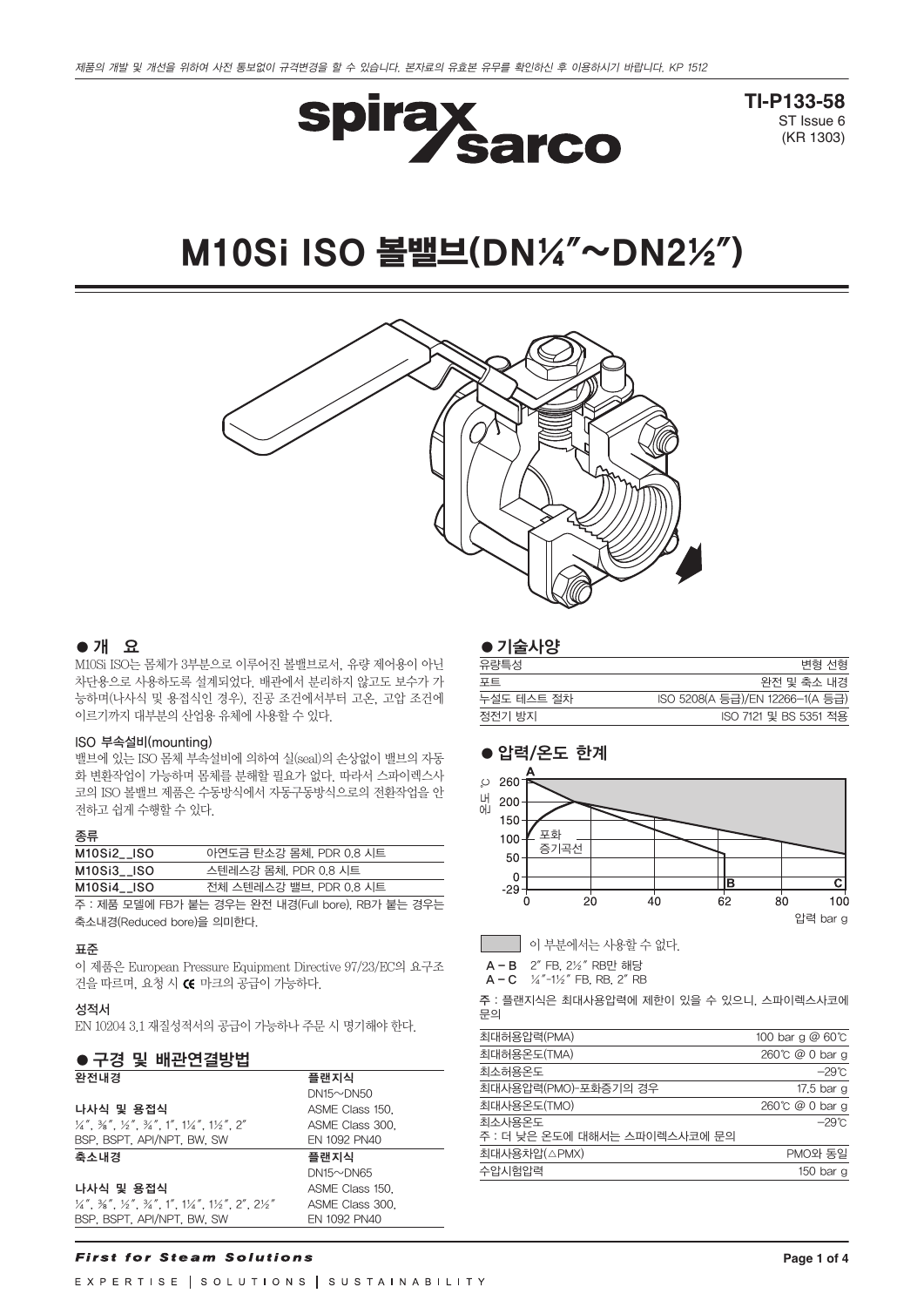

**TI-P133-58** ST Issue 6 (KR 1303)

# M10Si ISO 볼밸브(DN¼″~DN2½″)



# ●개 요

M10Si ISO는 몸체가 3부분으로 이루어진 볼밸브로서, 유량 제어용이 아닌 차단용으로 사용하도록 설계되었다. 배관에서 분리하지 않고도 보수가 가 능하며(나사식 및 용접식인 경우), 진공 조건에서부터 고온, 고압 조건에 이르기까지 대부분의 산업용 유체에 사용할 수 있다.

#### ISO 부속설비(mounting)

밸브에 있는 ISO 몸체 부속설비에 의하여 실(seal)의 손상없이 밸브의 자동 화 변환작업이 가능하며 몸체를 분해할 필요가 없다. 따라서 스파이렉스사 코의 ISO 볼밸브 제품은 수동방식에서 자동구동방식으로의 전환작업을 안 전하고 쉽게 수행할 수 있다.

#### 종류

| M10Si2__ISO | 아연도금 탄소강 몸체, PDR 0.8 시트                             |
|-------------|-----------------------------------------------------|
| M10Si3 ISO  | 스텐레스강 몸체, PDR 0.8 시트                                |
| M10Si4__ISO | 전체 스텐레스강 밸브, PDR 0.8 시트                             |
|             | ㅈ , 궤표 ㅁ데해 ㄷㅁㅋ! ㅂㄴ 커오ㄴ 야궈 !!!커(ㄷ.!! ! ) ㅁㅁㅋ! ㅂㄴ 거으ㄴ |

주 : 제품 모델에 FB가 붙는 경우는 완전 내경(Full bore), RB가 붙는 경우는 축소내경(Reduced bore)을 의미한다.

#### 표준

이 제품은 European Pressure Equipment Directive 97/23/EC의 요구조 건을 따르며, 요청 시 C 마크의 공급이 가능하다.

## 성적서

EN 10204 3.1 재질성적서의 공급이 가능하나 주문 시 명기해야 한다.

#### ● 구경 및 배관연결방법

| - I 9 x -ILLE98                                                                                                                                                                                               |                  |
|---------------------------------------------------------------------------------------------------------------------------------------------------------------------------------------------------------------|------------------|
| 완전내경                                                                                                                                                                                                          | 플랜지식             |
|                                                                                                                                                                                                               | $DN15 \sim DN50$ |
| 나사식 및 용접식                                                                                                                                                                                                     | ASME Class 150.  |
| $\frac{1}{4}$ $\frac{3}{8}$ $\frac{3}{8}$ $\frac{1}{2}$ $\frac{2}{8}$ $\frac{3}{4}$ $\frac{3}{4}$ $\frac{1}{1}$ $\frac{1}{4}$ $\frac{1}{4}$ $\frac{1}{2}$ $\frac{1}{2}$ $\frac{2}{1}$ $\frac{2}{1}$           | ASME Class 300.  |
| BSP, BSPT, API/NPT, BW, SW                                                                                                                                                                                    | EN 1092 PN40     |
| 축소내경                                                                                                                                                                                                          | 플랜지식             |
|                                                                                                                                                                                                               | $DN15\neg DN65$  |
| 나사식 및 용접식                                                                                                                                                                                                     | ASME Class 150.  |
| $\frac{1}{4}$ , $\frac{3}{8}$ , $\frac{1}{2}$ , $\frac{1}{2}$ , $\frac{3}{4}$ , $\frac{1}{4}$ , $\frac{1}{4}$ , $\frac{1}{4}$ , $\frac{1}{2}$ , $\frac{2}{4}$ , $\frac{2}{4}$ , $\frac{2}{2}$ , $\frac{1}{2}$ | ASME Class 300.  |
| BSP, BSPT, API/NPT, BW, SW                                                                                                                                                                                    | EN 1092 PN40     |

#### **First for Steam Solutions**

EXPERTISE | SOLUTIONS | SUSTAINABILITY

## ● 기술사양

| 유량특성       | 변형 선형                           |
|------------|---------------------------------|
| 포트         | 완전 및 축소 내경                      |
| 누설도 테스트 절차 | ISO 5208(A 등급)/EN 12266-1(A 등급) |
| 정전기 방지     | ISO 7121 및 BS 5351 적용           |



이 부분에서는 사용할 수 없다.

A-B 2″ FB, 2½″ RB만 해당

 $A - C$   $\frac{1}{4}$   $\frac{1}{2}$   $\frac{1}{2}$  FB, RB, 2<sup>"</sup> RB

주 : 플랜지식은 최대사용압력에 제한이 있을 수 있으니, 스파이렉스사코에 문의

| 최대허용압력(PMA)                             | 100 bar g $@$ 60 $^{\circ}$ C |
|-----------------------------------------|-------------------------------|
| 최대허용온도(TMA)                             | 260℃ @ 0 bar g                |
| 최소허용온도                                  | –29℃                          |
| 최대사용압력(PMO)-포화증기의 경우                    | 17.5 bar g                    |
| 최대사용온도(TMO)                             | 260℃ @ 0 bar g                |
| 최소사용온도<br>주 : 더 낮은 온도에 대해서는 스파이렉스사코에 문의 | $-29^{\circ}$ C               |
| 최대사용차압(△PMX)                            | PMO와 동일                       |
| 수압시험압력                                  | 150 bar g                     |
|                                         |                               |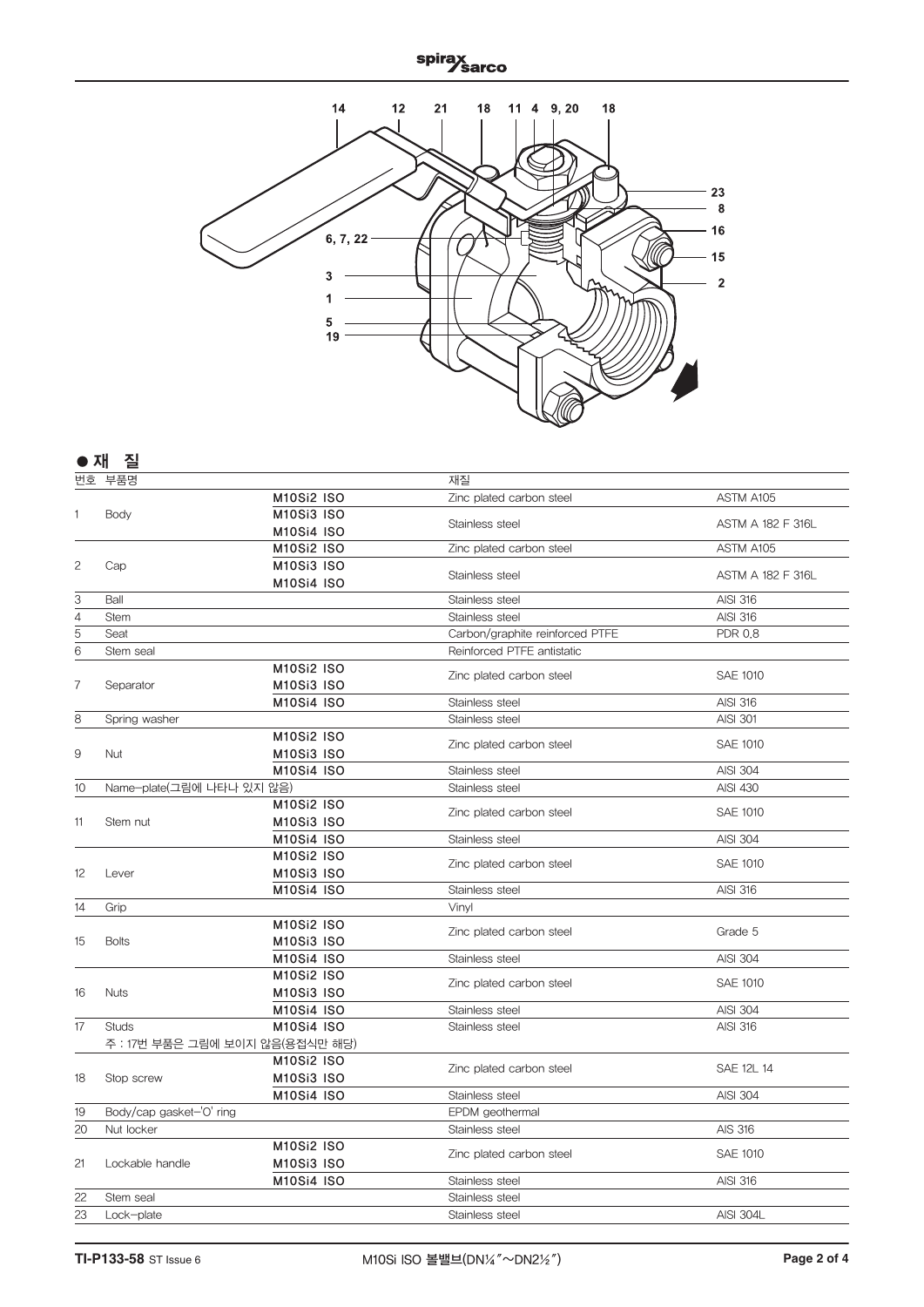spirax<br><u>Sarco</u>



|                                                                                                                                                                        | 질                               |                   |                                 |                          |
|------------------------------------------------------------------------------------------------------------------------------------------------------------------------|---------------------------------|-------------------|---------------------------------|--------------------------|
|                                                                                                                                                                        | 부품명                             |                   | 재질                              |                          |
|                                                                                                                                                                        |                                 | <b>M10Si2 ISO</b> | Zinc plated carbon steel        | ASTM A105                |
| ● 재<br>번호<br>1<br>$\mathbf{2}$<br>3<br>$\overline{4}$<br>5<br>$\overline{6}$<br>7<br>8<br>$\hbox{9}$<br>10<br>11<br>12<br>14<br>15<br>16<br>17<br>18<br>19<br>20<br>21 | Body                            | <b>M10Si3 ISO</b> | Stainless steel                 | <b>ASTM A 182 F 316L</b> |
|                                                                                                                                                                        |                                 | <b>M10Si4 ISO</b> |                                 |                          |
|                                                                                                                                                                        |                                 | <b>M10Si2 ISO</b> | Zinc plated carbon steel        | ASTM A105                |
|                                                                                                                                                                        | Cap                             | <b>M10Si3 ISO</b> | Stainless steel                 | <b>ASTM A 182 F 316L</b> |
|                                                                                                                                                                        |                                 | <b>M10Si4 ISO</b> |                                 |                          |
|                                                                                                                                                                        | Ball                            |                   | Stainless steel                 | <b>AISI 316</b>          |
|                                                                                                                                                                        | <b>Stem</b>                     |                   | Stainless steel                 | <b>AISI 316</b>          |
|                                                                                                                                                                        | Seat                            |                   | Carbon/graphite reinforced PTFE | <b>PDR 0.8</b>           |
|                                                                                                                                                                        | Stem seal                       |                   | Reinforced PTFE antistatic      |                          |
|                                                                                                                                                                        |                                 | <b>M10Si2 ISO</b> | Zinc plated carbon steel        | <b>SAE 1010</b>          |
|                                                                                                                                                                        | Separator                       | <b>M10Si3 ISO</b> |                                 |                          |
|                                                                                                                                                                        |                                 | <b>M10Si4 ISO</b> | Stainless steel                 | <b>AISI 316</b>          |
|                                                                                                                                                                        | Spring washer                   |                   | Stainless steel                 | <b>AISI 301</b>          |
|                                                                                                                                                                        |                                 | <b>M10Si2 ISO</b> | Zinc plated carbon steel        | <b>SAE 1010</b>          |
|                                                                                                                                                                        | <b>Nut</b>                      | <b>M10Si3 ISO</b> |                                 |                          |
|                                                                                                                                                                        |                                 | <b>M10Si4 ISO</b> | Stainless steel                 | <b>AISI 304</b>          |
|                                                                                                                                                                        | Name-plate(그림에 나타나 있지 않음)       |                   | Stainless steel                 | <b>AISI 430</b>          |
|                                                                                                                                                                        |                                 | <b>M10Si2 ISO</b> | Zinc plated carbon steel        | <b>SAE 1010</b>          |
|                                                                                                                                                                        | Stem nut                        | <b>M10Si3 ISO</b> |                                 |                          |
|                                                                                                                                                                        |                                 | <b>M10Si4 ISO</b> | Stainless steel                 | <b>AISI 304</b>          |
|                                                                                                                                                                        |                                 | <b>M10Si2 ISO</b> | Zinc plated carbon steel        | <b>SAE 1010</b>          |
|                                                                                                                                                                        | Lever                           | <b>M10Si3 ISO</b> |                                 |                          |
|                                                                                                                                                                        |                                 | <b>M10Si4 ISO</b> | Stainless steel                 | <b>AISI 316</b>          |
|                                                                                                                                                                        | Grip                            |                   | Vinyl                           |                          |
|                                                                                                                                                                        |                                 | <b>M10Si2 ISO</b> | Zinc plated carbon steel        | Grade 5                  |
|                                                                                                                                                                        | <b>Bolts</b>                    | <b>M10Si3 ISO</b> |                                 |                          |
|                                                                                                                                                                        |                                 | <b>M10Si4 ISO</b> | Stainless steel                 | <b>AISI 304</b>          |
|                                                                                                                                                                        |                                 | <b>M10Si2 ISO</b> | Zinc plated carbon steel        | <b>SAE 1010</b>          |
|                                                                                                                                                                        | <b>Nuts</b>                     | <b>M10Si3 ISO</b> |                                 |                          |
|                                                                                                                                                                        |                                 | <b>M10Si4 ISO</b> | Stainless steel                 | <b>AISI 304</b>          |
|                                                                                                                                                                        | <b>Studs</b>                    | <b>M10Si4 ISO</b> | Stainless steel                 | AISI 316                 |
|                                                                                                                                                                        | 주 : 17번 부품은 그림에 보이지 않음(용접식만 해당) |                   |                                 |                          |
|                                                                                                                                                                        |                                 | <b>M10Si2 ISO</b> | Zinc plated carbon steel        | <b>SAE 12L 14</b>        |
|                                                                                                                                                                        | Stop screw                      | <b>M10Si3 ISO</b> |                                 |                          |
|                                                                                                                                                                        |                                 | <b>M10Si4 ISO</b> | Stainless steel                 | <b>AISI 304</b>          |
|                                                                                                                                                                        | Body/cap gasket-'O' ring        |                   | EPDM geothermal                 |                          |
|                                                                                                                                                                        | Nut locker                      |                   | Stainless steel                 | AIS 316                  |
|                                                                                                                                                                        |                                 | <b>M10Si2 ISO</b> | Zinc plated carbon steel        | <b>SAE 1010</b>          |
|                                                                                                                                                                        | Lockable handle                 | <b>M10Si3 ISO</b> |                                 |                          |
|                                                                                                                                                                        |                                 | <b>M10Si4 ISO</b> | Stainless steel                 | AISI 316                 |
| 22                                                                                                                                                                     | Stem seal                       |                   | Stainless steel                 |                          |
| 23                                                                                                                                                                     | Lock-plate                      |                   | Stainless steel                 | <b>AISI 304L</b>         |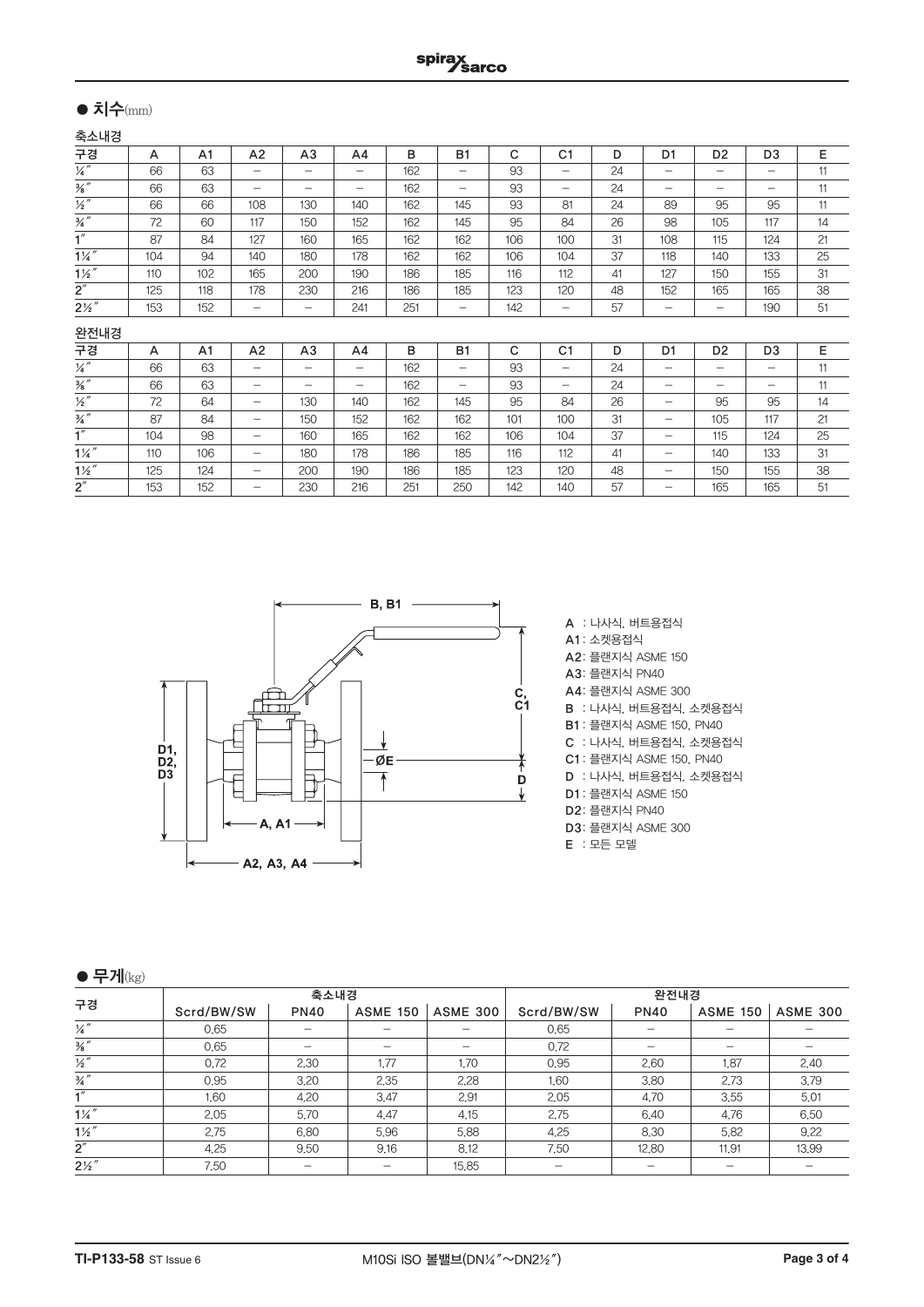# ● 치수(mm)

축소내경

| 구경                       | A   | A <sub>1</sub> | A <sub>2</sub>           | A <sub>3</sub>           | A <sub>4</sub>           | в   | <b>B1</b>         | С            | C <sub>1</sub>           | D  | D <sub>1</sub>           | D <sub>2</sub>           | D <sub>3</sub>           | E  |
|--------------------------|-----|----------------|--------------------------|--------------------------|--------------------------|-----|-------------------|--------------|--------------------------|----|--------------------------|--------------------------|--------------------------|----|
| $\overline{1/4}''$       | 66  | 63             | $\overline{\phantom{0}}$ | $\overline{\phantom{0}}$ | $\overline{\phantom{0}}$ | 162 |                   | 93           | $\overline{\phantom{0}}$ | 24 | $\overline{\phantom{0}}$ | $\overline{\phantom{0}}$ | $\overline{\phantom{0}}$ | 11 |
| $\frac{3}{8}$ "          | 66  | 63             | $\overline{\phantom{0}}$ | $\overline{\phantom{0}}$ | $\overline{\phantom{0}}$ | 162 | $\qquad \qquad -$ | 93           | $\overline{\phantom{0}}$ | 24 |                          | $\overline{\phantom{0}}$ | -                        | 11 |
| $\overline{\frac{1}{2}}$ | 66  | 66             | 108                      | 130                      | 140                      | 162 | 145               | 93           | 81                       | 24 | 89                       | 95                       | 95                       | 11 |
| $\frac{3}{4}$ "          | 72  | 60             | 117                      | 150                      | 152                      | 162 | 145               | 95           | 84                       | 26 | 98                       | 105                      | 117                      | 14 |
| $\overline{1''}$         | 87  | 84             | 127                      | 160                      | 165                      | 162 | 162               | 106          | 100                      | 31 | 108                      | 115                      | 124                      | 21 |
| $1\frac{1}{4}$           | 104 | 94             | 140                      | 180                      | 178                      | 162 | 162               | 106          | 104                      | 37 | 118                      | 140                      | 133                      | 25 |
| $1\frac{1}{2}$           | 110 | 102            | 165                      | 200                      | 190                      | 186 | 185               | 116          | 112                      | 41 | 127                      | 150                      | 155                      | 31 |
| 2''                      | 125 | 118            | 178                      | 230                      | 216                      | 186 | 185               | 123          | 120                      | 48 | 152                      | 165                      | 165                      | 38 |
| $2\frac{1}{2}$           | 153 | 152            | -                        | $\overline{\phantom{m}}$ | 241                      | 251 | $\qquad \qquad -$ | 142          | -                        | 57 | -                        | $\overline{\phantom{0}}$ | 190                      | 51 |
| 완전내경                     |     |                |                          |                          |                          |     |                   |              |                          |    |                          |                          |                          |    |
| 구경                       | A   | A <sub>1</sub> | A <sub>2</sub>           | A3                       | A <sub>4</sub>           | B   | <b>B1</b>         | $\mathsf{C}$ | C <sub>1</sub>           | D  | D <sub>1</sub>           | D <sub>2</sub>           | D <sub>3</sub>           | E  |
| $\frac{1}{4}''$          | 66  | 63             | $\qquad \qquad -$        |                          | $\qquad \qquad -$        | 162 | $\qquad \qquad -$ | 93           | -                        | 24 |                          | $\overline{\phantom{0}}$ | $\qquad \qquad -$        | 11 |
| $\frac{3}{8}$ "          | 66  | 63             | -                        | -                        | $\overline{\phantom{0}}$ | 162 | $\qquad \qquad -$ | 93           | -                        | 24 | -                        |                          | -                        | 11 |
| $\frac{1}{2}$            | 72  | 64             | -                        | 130                      | 140                      | 162 | 145               | 95           | 84                       | 26 | $\overline{\phantom{0}}$ | 95                       | 95                       | 14 |
| $\frac{3}{4}$ "          | 87  | 84             | $\overline{\phantom{0}}$ | 150                      | 152                      | 162 | 162               | 101          | 100                      | 31 | -                        | 105                      | 117                      | 21 |
| 1''                      | 104 | 98             | $\qquad \qquad -$        | 160                      | 165                      | 162 | 162               | 106          | 104                      | 37 | -                        | 115                      | 124                      | 25 |
| $1\frac{1}{4}$           | 110 | 106            | -                        | 180                      | 178                      | 186 | 185               | 116          | 112                      | 41 | -                        | 140                      | 133                      | 31 |
| $1\frac{1}{2}$           | 125 | 124            | $\qquad \qquad$          | 200                      | 190                      | 186 | 185               | 123          | 120                      | 48 | $\qquad \qquad -$        | 150                      | 155                      | 38 |
| $2^{\prime\prime}$       | 153 | 152            | -                        | 230                      | 216                      | 251 | 250               | 142          | 140                      | 57 | -                        | 165                      | 165                      | 51 |



A : 나사식, 버트용접식 A1 : 소켓용접식 A2: 플랜지식 ASME 150 A3: 플랜지식 PN40 A4: 플랜지식 ASME 300 B : 나사식, 버트용접식, 소켓용접식 B1 : 플랜지식 ASME 150, PN40 C : 나사식, 버트용접식, 소켓용접식 C1 : 플랜지식 ASME 150, PN40 D : 나사식, 버트용접식, 소켓용접식 D1 : 플랜지식 ASME 150 D2: 플랜지식 PN40 D3: 플랜지식 ASME 300 E : 모든 모델

 $\bullet$  무게 $(kg)$ 

| -- - -             |            | 축소내경        |                 |                 | 완전내경       |             |                 |                 |  |  |
|--------------------|------------|-------------|-----------------|-----------------|------------|-------------|-----------------|-----------------|--|--|
| 구경                 | Scrd/BW/SW | <b>PN40</b> | <b>ASME 150</b> | <b>ASME 300</b> | Scrd/BW/SW | <b>PN40</b> | <b>ASME 150</b> | <b>ASME 300</b> |  |  |
| $\overline{1/4}''$ | 0.65       |             |                 |                 | 0.65       |             |                 |                 |  |  |
| $\frac{3}{8}$ "    | 0.65       |             |                 |                 | 0.72       |             |                 |                 |  |  |
| $\frac{1}{2}$ "    | 0.72       | 2,30        | 1.77            | 1.70            | 0.95       | 2.60        | 1.87            | 2.40            |  |  |
| $\frac{3}{4}$ "    | 0.95       | 3.20        | 2,35            | 2.28            | 1,60       | 3.80        | 2.73            | 3.79            |  |  |
|                    | 1.60       | 4,20        | 3.47            | 2.91            | 2.05       | 4.70        | 3.55            | 5.01            |  |  |
| $1\frac{1}{4}$     | 2.05       | 5.70        | 4.47            | 4.15            | 2.75       | 6.40        | 4.76            | 6.50            |  |  |
| $1\frac{1}{2}$     | 2.75       | 6,80        | 5.96            | 5.88            | 4.25       | 8,30        | 5.82            | 9.22            |  |  |
| 2''                | 4.25       | 9.50        | 9.16            | 8.12            | 7.50       | 12.80       | 11,91           | 13,99           |  |  |
| $2\frac{1}{2}$     | 7.50       |             |                 | 15.85           |            |             |                 |                 |  |  |